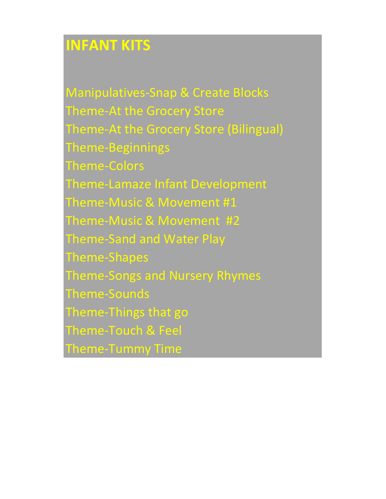### **INFANT KITS**

Manipulatives-Snap & Create Blocks Theme-At the Grocery Store Theme-At the Grocery Store (Bilingual) Theme-Beginnings Theme-Colors Theme-Lamaze Infant Development Theme-Music & Movement #1 Theme-Music & Movement #2 Theme-Sand and Water Play Theme-Shapes Theme-Songs and Nursery Rhymes Theme-Sounds Theme-Things that go Theme-Touch & Feel Theme-Tummy Time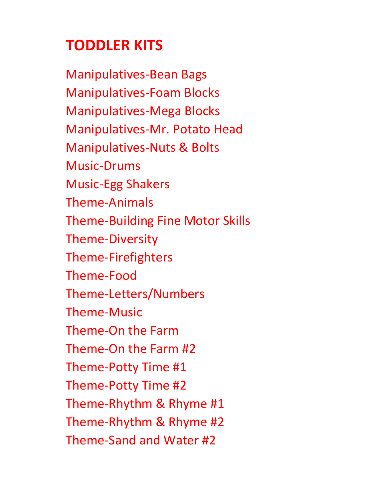# **TODDLER KITS**

Manipulatives-Bean Bags Manipulatives-Foam Blocks Manipulatives-Mega Blocks Manipulatives-Mr. Potato Head Manipulatives-Nuts & Bolts Music-Drums Music-Egg Shakers Theme-Animals Theme-Building Fine Motor Skills Theme-Diversity Theme-Firefighters Theme-Food Theme-Letters/Numbers Theme-Music Theme-On the Farm Theme-On the Farm #2 Theme-Potty Time #1 Theme-Potty Time #2 Theme-Rhythm & Rhyme #1 Theme-Rhythm & Rhyme #2 Theme-Sand and Water #2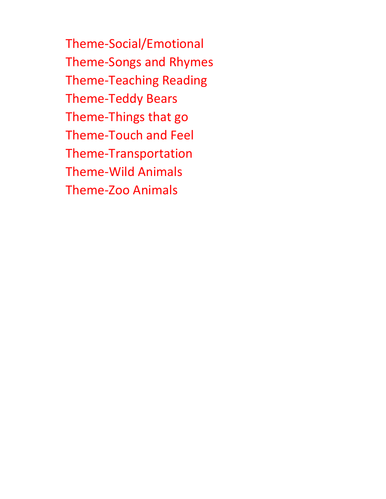Theme-Social/Emotional Theme-Songs and Rhymes Theme-Teaching Reading Theme-Teddy Bears Theme-Things that go Theme-Touch and Feel Theme-Transportation Theme-Wild Animals Theme-Zoo Animals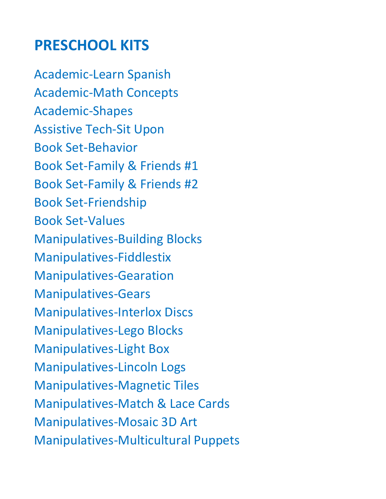#### **PRESCHOOL KITS**

Academic-Learn Spanish Academic-Math Concepts Academic-Shapes Assistive Tech-Sit Upon Book Set-Behavior Book Set-Family & Friends #1 Book Set-Family & Friends #2 Book Set-Friendship Book Set-Values Manipulatives-Building Blocks Manipulatives-Fiddlestix Manipulatives-Gearation Manipulatives-Gears Manipulatives-Interlox Discs Manipulatives-Lego Blocks Manipulatives-Light Box Manipulatives-Lincoln Logs Manipulatives-Magnetic Tiles Manipulatives-Match & Lace Cards Manipulatives-Mosaic 3D Art Manipulatives-Multicultural Puppets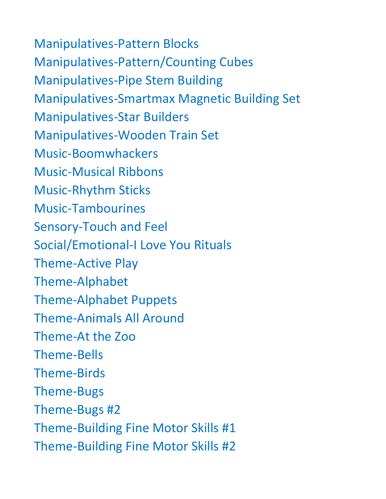Manipulatives-Pattern Blocks Manipulatives-Pattern/Counting Cubes Manipulatives-Pipe Stem Building Manipulatives-Smartmax Magnetic Building Set Manipulatives-Star Builders Manipulatives-Wooden Train Set Music-Boomwhackers Music-Musical Ribbons Music-Rhythm Sticks Music-Tambourines Sensory-Touch and Feel Social/Emotional-I Love You Rituals Theme-Active Play Theme-Alphabet Theme-Alphabet Puppets Theme-Animals All Around Theme-At the Zoo Theme-Bells Theme-Birds Theme-Bugs Theme-Bugs #2 Theme-Building Fine Motor Skills #1 Theme-Building Fine Motor Skills #2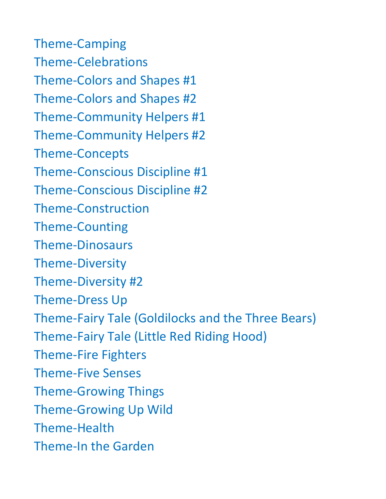Theme-Camping Theme-Celebrations Theme-Colors and Shapes #1 Theme-Colors and Shapes #2 Theme-Community Helpers #1 Theme-Community Helpers #2 Theme-Concepts Theme-Conscious Discipline #1 Theme-Conscious Discipline #2 Theme-Construction Theme-Counting Theme-Dinosaurs Theme-Diversity Theme-Diversity #2 Theme-Dress Up Theme-Fairy Tale (Goldilocks and the Three Bears) Theme-Fairy Tale (Little Red Riding Hood) Theme-Fire Fighters Theme-Five Senses Theme-Growing Things Theme-Growing Up Wild Theme-Health Theme-In the Garden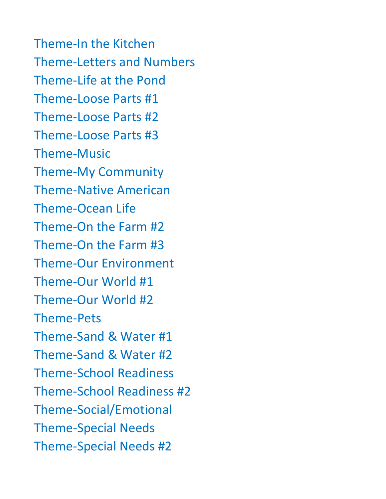Theme-In the Kitchen Theme-Letters and Numbers Theme-Life at the Pond Theme-Loose Parts #1 Theme-Loose Parts #2 Theme-Loose Parts #3 Theme-Music Theme-My Community Theme-Native American Theme-Ocean Life Theme-On the Farm #2 Theme-On the Farm #3 Theme-Our Environment Theme-Our World #1 Theme-Our World #2 Theme-Pets Theme-Sand & Water #1 Theme-Sand & Water #2 Theme-School Readiness Theme-School Readiness #2 Theme-Social/Emotional Theme-Special Needs Theme-Special Needs #2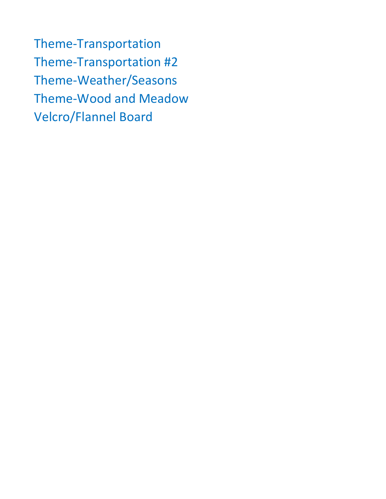Theme-Transportation Theme-Transportation #2 Theme-Weather/Seasons Theme-Wood and Meadow Velcro/Flannel Board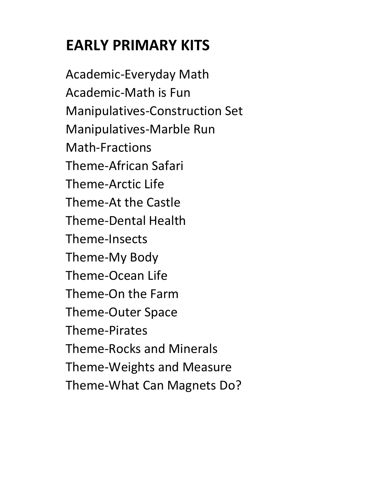## **EARLY PRIMARY KITS**

Academic-Everyday Math Academic-Math is Fun Manipulatives-Construction Set Manipulatives-Marble Run Math-Fractions Theme-African Safari Theme-Arctic Life Theme-At the Castle Theme-Dental Health Theme-Insects Theme-My Body Theme-Ocean Life Theme-On the Farm Theme-Outer Space Theme-Pirates Theme-Rocks and Minerals Theme-Weights and Measure Theme-What Can Magnets Do?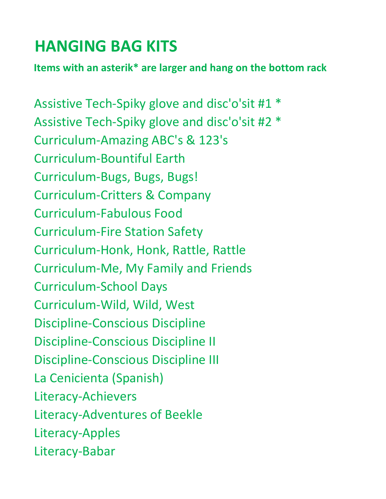## **HANGING BAG KITS**

**Items with an asterik\* are larger and hang on the bottom rack**

Assistive Tech-Spiky glove and disc'o'sit #1 \* Assistive Tech-Spiky glove and disc'o'sit #2 \* Curriculum-Amazing ABC's & 123's Curriculum-Bountiful Earth Curriculum-Bugs, Bugs, Bugs! Curriculum-Critters & Company Curriculum-Fabulous Food Curriculum-Fire Station Safety Curriculum-Honk, Honk, Rattle, Rattle Curriculum-Me, My Family and Friends Curriculum-School Days Curriculum-Wild, Wild, West Discipline-Conscious Discipline Discipline-Conscious Discipline II Discipline-Conscious Discipline III La Cenicienta (Spanish) Literacy-Achievers Literacy-Adventures of Beekle Literacy-Apples Literacy-Babar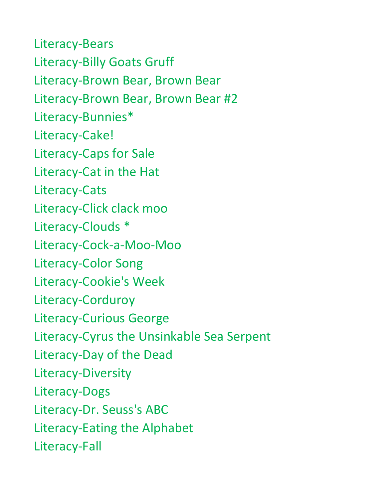Literacy-Bears Literacy-Billy Goats Gruff Literacy-Brown Bear, Brown Bear Literacy-Brown Bear, Brown Bear #2 Literacy-Bunnies\* Literacy-Cake! Literacy-Caps for Sale Literacy-Cat in the Hat Literacy-Cats Literacy-Click clack moo Literacy-Clouds \* Literacy-Cock-a-Moo-Moo Literacy-Color Song Literacy-Cookie's Week Literacy-Corduroy Literacy-Curious George Literacy-Cyrus the Unsinkable Sea Serpent Literacy-Day of the Dead Literacy-Diversity Literacy-Dogs Literacy-Dr. Seuss's ABC Literacy-Eating the Alphabet Literacy-Fall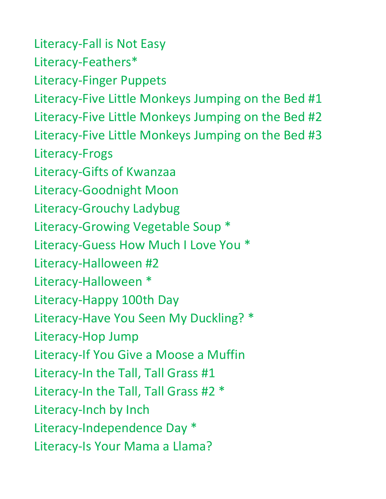Literacy-Fall is Not Easy Literacy-Feathers\* Literacy-Finger Puppets Literacy-Five Little Monkeys Jumping on the Bed #1 Literacy-Five Little Monkeys Jumping on the Bed #2 Literacy-Five Little Monkeys Jumping on the Bed #3 Literacy-Frogs Literacy-Gifts of Kwanzaa Literacy-Goodnight Moon Literacy-Grouchy Ladybug Literacy-Growing Vegetable Soup \* Literacy-Guess How Much I Love You \* Literacy-Halloween #2 Literacy-Halloween \* Literacy-Happy 100th Day Literacy-Have You Seen My Duckling? \* Literacy-Hop Jump Literacy-If You Give a Moose a Muffin Literacy-In the Tall, Tall Grass #1 Literacy-In the Tall, Tall Grass #2 \* Literacy-Inch by Inch Literacy-Independence Day \* Literacy-Is Your Mama a Llama?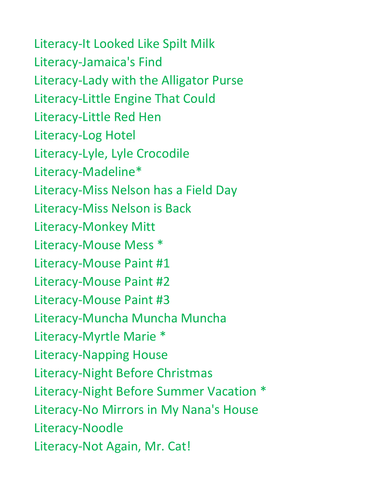Literacy-It Looked Like Spilt Milk Literacy-Jamaica's Find Literacy-Lady with the Alligator Purse Literacy-Little Engine That Could Literacy-Little Red Hen Literacy-Log Hotel Literacy-Lyle, Lyle Crocodile Literacy-Madeline\* Literacy-Miss Nelson has a Field Day Literacy-Miss Nelson is Back Literacy-Monkey Mitt Literacy-Mouse Mess \* Literacy-Mouse Paint #1 Literacy-Mouse Paint #2 Literacy-Mouse Paint #3 Literacy-Muncha Muncha Muncha Literacy-Myrtle Marie \* Literacy-Napping House Literacy-Night Before Christmas Literacy-Night Before Summer Vacation \* Literacy-No Mirrors in My Nana's House Literacy-Noodle Literacy-Not Again, Mr. Cat!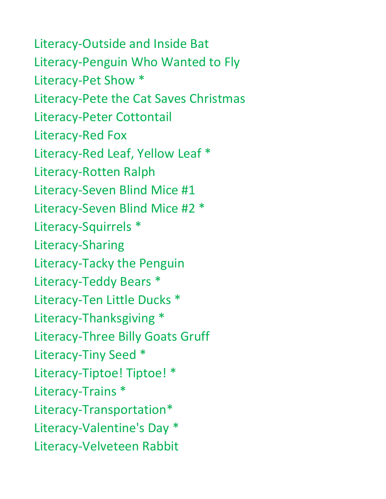Literacy-Outside and Inside Bat Literacy-Penguin Who Wanted to Fly Literacy-Pet Show \* Literacy-Pete the Cat Saves Christmas Literacy-Peter Cottontail Literacy-Red Fox Literacy-Red Leaf, Yellow Leaf \* Literacy-Rotten Ralph Literacy-Seven Blind Mice #1 Literacy-Seven Blind Mice #2 \* Literacy-Squirrels \* Literacy-Sharing Literacy-Tacky the Penguin Literacy-Teddy Bears \* Literacy-Ten Little Ducks \* Literacy-Thanksgiving \* Literacy-Three Billy Goats Gruff Literacy-Tiny Seed \* Literacy-Tiptoe! Tiptoe! \* Literacy-Trains \* Literacy-Transportation\* Literacy-Valentine's Day \* Literacy-Velveteen Rabbit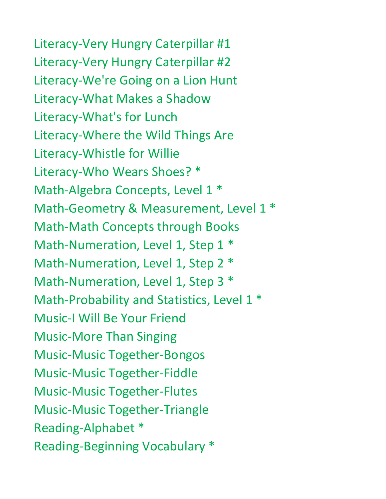Literacy-Very Hungry Caterpillar #1 Literacy-Very Hungry Caterpillar #2 Literacy-We're Going on a Lion Hunt Literacy-What Makes a Shadow Literacy-What's for Lunch Literacy-Where the Wild Things Are Literacy-Whistle for Willie Literacy-Who Wears Shoes? \* Math-Algebra Concepts, Level 1 \* Math-Geometry & Measurement, Level 1  $*$ Math-Math Concepts through Books Math-Numeration, Level 1, Step 1  $*$ Math-Numeration, Level 1, Step 2  $*$ Math-Numeration, Level 1, Step 3  $*$ Math-Probability and Statistics, Level 1<sup>\*</sup> Music-I Will Be Your Friend Music-More Than Singing Music-Music Together-Bongos Music-Music Together-Fiddle Music-Music Together-Flutes Music-Music Together-Triangle Reading-Alphabet \*

Reading-Beginning Vocabulary \*